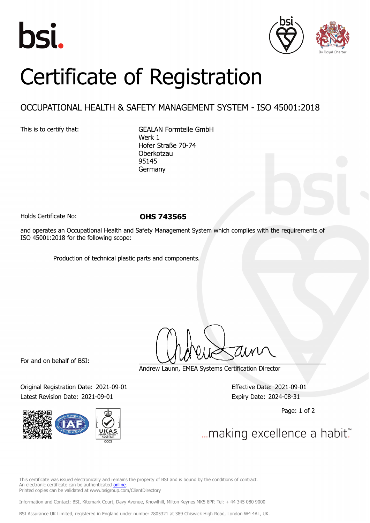





## Certificate of Registration

## OCCUPATIONAL HEALTH & SAFETY MANAGEMENT SYSTEM - ISO 45001:2018

This is to certify that: GEALAN Formteile GmbH Werk 1 Hofer Straße 70-74 Oberkotzau 95145 Germany

Holds Certificate No: **OHS 743565**

and operates an Occupational Health and Safety Management System which complies with the requirements of ISO 45001:2018 for the following scope:

Production of technical plastic parts and components.

For and on behalf of BSI:

Original Registration Date: 2021-09-01 Effective Date: 2021-09-01 Latest Revision Date: 2021-09-01 Expiry Date: 2024-08-31



Andrew Launn, EMEA Systems Certification Director

Page: 1 of 2

... making excellence a habit."

This certificate was issued electronically and remains the property of BSI and is bound by the conditions of contract. An electronic certificate can be authenticated [online](https://pgplus.bsigroup.com/CertificateValidation/CertificateValidator.aspx?CertificateNumber=OHS+743565&ReIssueDate=01%2f09%2f2021&Template=cemea_en) Printed copies can be validated at www.bsigroup.com/ClientDirectory

Information and Contact: BSI, Kitemark Court, Davy Avenue, Knowlhill, Milton Keynes MK5 8PP. Tel: + 44 345 080 9000

BSI Assurance UK Limited, registered in England under number 7805321 at 389 Chiswick High Road, London W4 4AL, UK.